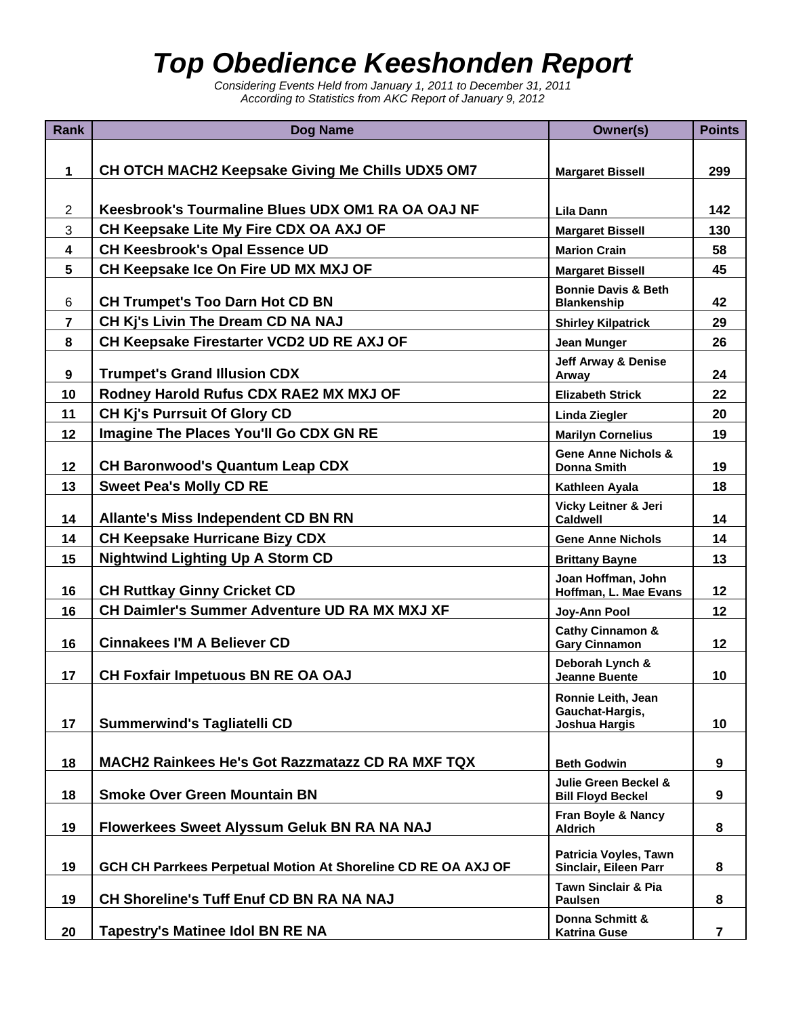## *Top Obedience Keeshonden Report*

*Considering Events Held from January 1, 2011 to December 31, 2011 According to Statistics from AKC Report of January 9, 2012* 

| <b>Rank</b>    | Dog Name                                                      | Owner(s)                                                    | <b>Points</b> |
|----------------|---------------------------------------------------------------|-------------------------------------------------------------|---------------|
|                |                                                               |                                                             |               |
| $\mathbf{1}$   | CH OTCH MACH2 Keepsake Giving Me Chills UDX5 OM7              | <b>Margaret Bissell</b>                                     | 299           |
|                |                                                               |                                                             |               |
| $\overline{2}$ | Keesbrook's Tourmaline Blues UDX OM1 RA OA OAJ NF             | Lila Dann                                                   | 142           |
| 3              | CH Keepsake Lite My Fire CDX OA AXJ OF                        | <b>Margaret Bissell</b>                                     | 130           |
| 4              | <b>CH Keesbrook's Opal Essence UD</b>                         | <b>Marion Crain</b>                                         | 58            |
| 5              | CH Keepsake Ice On Fire UD MX MXJ OF                          | <b>Margaret Bissell</b>                                     | 45            |
| 6              | <b>CH Trumpet's Too Darn Hot CD BN</b>                        | <b>Bonnie Davis &amp; Beth</b><br><b>Blankenship</b>        | 42            |
| $\overline{7}$ | CH Kj's Livin The Dream CD NA NAJ                             | <b>Shirley Kilpatrick</b>                                   | 29            |
| 8              | CH Keepsake Firestarter VCD2 UD RE AXJ OF                     | <b>Jean Munger</b>                                          | 26            |
| 9              | <b>Trumpet's Grand Illusion CDX</b>                           | <b>Jeff Arway &amp; Denise</b><br>Arway                     | 24            |
| 10             | Rodney Harold Rufus CDX RAE2 MX MXJ OF                        | <b>Elizabeth Strick</b>                                     | 22            |
| 11             | <b>CH Kj's Purrsuit Of Glory CD</b>                           | <b>Linda Ziegler</b>                                        | 20            |
| 12             | Imagine The Places You'll Go CDX GN RE                        | <b>Marilyn Cornelius</b>                                    | 19            |
| 12             | <b>CH Baronwood's Quantum Leap CDX</b>                        | <b>Gene Anne Nichols &amp;</b><br><b>Donna Smith</b>        | 19            |
| 13             | <b>Sweet Pea's Molly CD RE</b>                                | Kathleen Ayala                                              | 18            |
|                |                                                               | Vicky Leitner & Jeri                                        |               |
| 14             | <b>Allante's Miss Independent CD BN RN</b>                    | <b>Caldwell</b>                                             | 14            |
| 14             | <b>CH Keepsake Hurricane Bizy CDX</b>                         | <b>Gene Anne Nichols</b>                                    | 14            |
| 15             | <b>Nightwind Lighting Up A Storm CD</b>                       | <b>Brittany Bayne</b>                                       | 13            |
| 16             | <b>CH Ruttkay Ginny Cricket CD</b>                            | Joan Hoffman, John<br>Hoffman, L. Mae Evans                 | 12            |
| 16             | <b>CH Daimler's Summer Adventure UD RA MX MXJ XF</b>          | Joy-Ann Pool                                                | 12            |
| 16             | <b>Cinnakees I'M A Believer CD</b>                            | <b>Cathy Cinnamon &amp;</b><br><b>Gary Cinnamon</b>         | 12            |
|                |                                                               | Deborah Lynch &                                             |               |
| 17             | CH Foxfair Impetuous BN RE OA OAJ                             | <b>Jeanne Buente</b>                                        | 10            |
|                |                                                               | Ronnie Leith, Jean<br>Gauchat-Hargis,                       |               |
| 17             | <b>Summerwind's Tagliatelli CD</b>                            | <b>Joshua Hargis</b>                                        | 10            |
|                |                                                               |                                                             |               |
| 18             | MACH2 Rainkees He's Got Razzmatazz CD RA MXF TQX              | <b>Beth Godwin</b>                                          | 9             |
| 18             | <b>Smoke Over Green Mountain BN</b>                           | <b>Julie Green Beckel &amp;</b><br><b>Bill Floyd Beckel</b> | 9             |
| 19             | <b>Flowerkees Sweet Alyssum Geluk BN RA NA NAJ</b>            | Fran Boyle & Nancy<br><b>Aldrich</b>                        | 8             |
|                |                                                               | Patricia Voyles, Tawn                                       |               |
| 19             | GCH CH Parrkees Perpetual Motion At Shoreline CD RE OA AXJ OF | Sinclair, Eileen Parr                                       | 8             |
| 19             | CH Shoreline's Tuff Enuf CD BN RA NA NAJ                      | <b>Tawn Sinclair &amp; Pia</b><br><b>Paulsen</b>            | 8             |
|                |                                                               | Donna Schmitt &                                             |               |
| 20             | <b>Tapestry's Matinee Idol BN RE NA</b>                       | <b>Katrina Guse</b>                                         | 7             |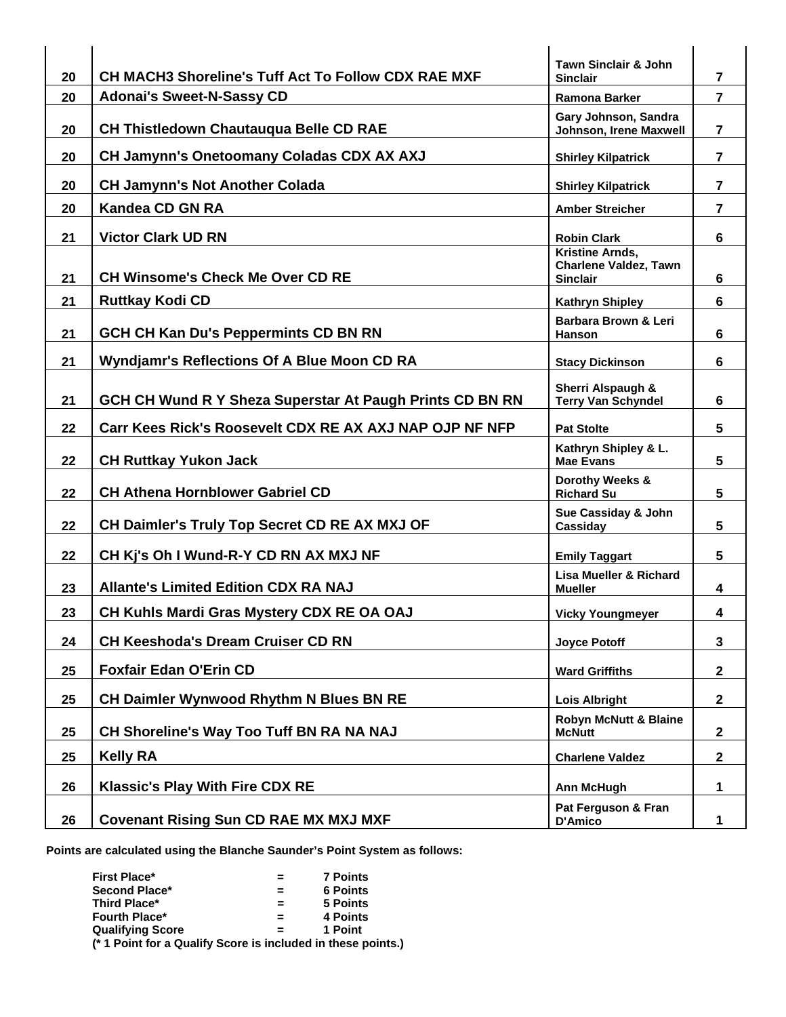| 20 | <b>CH MACH3 Shoreline's Tuff Act To Follow CDX RAE MXF</b> | <b>Tawn Sinclair &amp; John</b><br><b>Sinclair</b>                        | $\overline{7}$          |
|----|------------------------------------------------------------|---------------------------------------------------------------------------|-------------------------|
| 20 | <b>Adonai's Sweet-N-Sassy CD</b>                           | <b>Ramona Barker</b>                                                      | $\overline{7}$          |
| 20 | <b>CH Thistledown Chautauqua Belle CD RAE</b>              | Gary Johnson, Sandra<br>Johnson, Irene Maxwell                            | $\overline{\mathbf{r}}$ |
| 20 | CH Jamynn's Onetoomany Coladas CDX AX AXJ                  | <b>Shirley Kilpatrick</b>                                                 | $\overline{\mathbf{r}}$ |
| 20 | <b>CH Jamynn's Not Another Colada</b>                      | <b>Shirley Kilpatrick</b>                                                 | $\overline{7}$          |
| 20 | <b>Kandea CD GN RA</b>                                     | <b>Amber Streicher</b>                                                    | 7                       |
| 21 | <b>Victor Clark UD RN</b>                                  | <b>Robin Clark</b>                                                        | 6                       |
| 21 | <b>CH Winsome's Check Me Over CD RE</b>                    | <b>Kristine Arnds,</b><br><b>Charlene Valdez, Tawn</b><br><b>Sinclair</b> | 6                       |
| 21 | <b>Ruttkay Kodi CD</b>                                     | <b>Kathryn Shipley</b>                                                    | 6                       |
| 21 | <b>GCH CH Kan Du's Peppermints CD BN RN</b>                | Barbara Brown & Leri<br><b>Hanson</b>                                     | 6                       |
| 21 | <b>Wyndjamr's Reflections Of A Blue Moon CD RA</b>         | <b>Stacy Dickinson</b>                                                    | 6                       |
| 21 | GCH CH Wund R Y Sheza Superstar At Paugh Prints CD BN RN   | Sherri Alspaugh &<br><b>Terry Van Schyndel</b>                            | 6                       |
| 22 | Carr Kees Rick's Roosevelt CDX RE AX AXJ NAP OJP NF NFP    | <b>Pat Stolte</b>                                                         | 5                       |
| 22 | <b>CH Ruttkay Yukon Jack</b>                               | Kathryn Shipley & L.<br><b>Mae Evans</b>                                  | 5                       |
| 22 | <b>CH Athena Hornblower Gabriel CD</b>                     | Dorothy Weeks &<br><b>Richard Su</b>                                      | 5                       |
| 22 | <b>CH Daimler's Truly Top Secret CD RE AX MXJ OF</b>       | Sue Cassiday & John<br>Cassiday                                           | 5                       |
| 22 | CH Kj's Oh I Wund-R-Y CD RN AX MXJ NF                      | <b>Emily Taggart</b>                                                      | 5                       |
| 23 | <b>Allante's Limited Edition CDX RA NAJ</b>                | Lisa Mueller & Richard<br><b>Mueller</b>                                  | 4                       |
| 23 | CH Kuhls Mardi Gras Mystery CDX RE OA OAJ                  | <b>Vicky Youngmeyer</b>                                                   | 4                       |
| 24 | <b>CH Keeshoda's Dream Cruiser CD RN</b>                   | <b>Joyce Potoff</b>                                                       | 3                       |
| 25 | <b>Foxfair Edan O'Erin CD</b>                              | <b>Ward Griffiths</b>                                                     | $\mathbf{2}$            |
| 25 | CH Daimler Wynwood Rhythm N Blues BN RE                    | <b>Lois Albright</b>                                                      | $\mathbf{2}$            |
| 25 | CH Shoreline's Way Too Tuff BN RA NA NAJ                   | <b>Robyn McNutt &amp; Blaine</b><br><b>McNutt</b>                         | $\mathbf{2}$            |
| 25 | <b>Kelly RA</b>                                            | <b>Charlene Valdez</b>                                                    | $\mathbf{2}$            |
| 26 | <b>Klassic's Play With Fire CDX RE</b>                     | <b>Ann McHugh</b>                                                         | 1                       |
| 26 | <b>Covenant Rising Sun CD RAE MX MXJ MXF</b>               | Pat Ferguson & Fran<br>D'Amico                                            | 1                       |

**Points are calculated using the Blanche Saunder's Point System as follows:** 

| <b>First Place*</b>                                          | $\equiv$ | <b>7 Points</b> |
|--------------------------------------------------------------|----------|-----------------|
| Second Place*                                                |          | <b>6 Points</b> |
| Third Place*                                                 | $\equiv$ | 5 Points        |
| <b>Fourth Place*</b>                                         |          | 4 Points        |
| <b>Qualifying Score</b>                                      |          | 1 Point         |
| (* 1 Point for a Qualify Score is included in these points.) |          |                 |